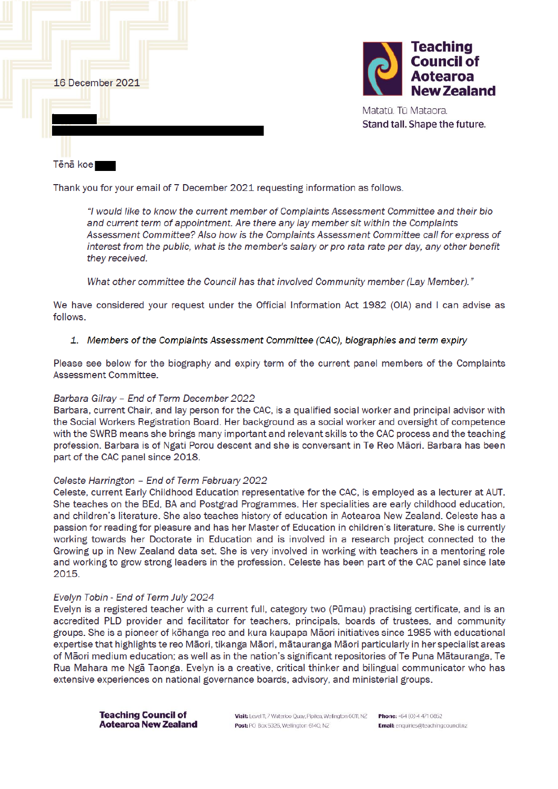

Thank you for your email of 7 December 2021 requesting information as follows.

"I would like to know the current member of Complaints Assessment Committee and their bio and current term of appointment. Are there any lay member sit within the Complaints Assessment Committee? Also how is the Complaints Assessment Committee call for express of interest from the public, what is the member's salary or pro rata rate per day, any other benefit they received.

What other committee the Council has that involved Community member (Lay Member)."

We have considered your request under the Official Information Act 1982 (OIA) and I can advise as follows

### 1. Members of the Complaints Assessment Committee (CAC), biographies and term expiry

Please see below for the biography and expiry term of the current panel members of the Complaints Assessment Committee

#### Barbara Gilray - End of Term December 2022

Barbara, current Chair, and lay person for the CAC, is a qualified social worker and principal advisor with the Social Workers Registration Board. Her background as a social worker and oversight of competence with the SWRB means she brings many important and relevant skills to the CAC process and the teaching profession. Barbara is of Ngati Porou descent and she is conversant in Te Reo Māori. Barbara has been part of the CAC panel since 2018.

#### Celeste Harrington - End of Term February 2022

Celeste, current Early Childhood Education representative for the CAC, is employed as a lecturer at AUT. She teaches on the BEd, BA and Postgrad Programmes. Her specialities are early childhood education, and children's literature. She also teaches history of education in Aotearoa New Zealand. Celeste has a passion for reading for pleasure and has her Master of Education in children's literature. She is currently working towards her Doctorate in Education and is involved in a research project connected to the Growing up in New Zealand data set. She is very involved in working with teachers in a mentoring role and working to grow strong leaders in the profession. Celeste has been part of the CAC panel since late 2015.

#### Evelyn Tobin - End of Term July 2024

Evelyn is a registered teacher with a current full, category two (Pūmau) practising certificate, and is an accredited PLD provider and facilitator for teachers, principals, boards of trustees, and community groups. She is a pioneer of kōhanga reo and kura kaupapa Māori initiatives since 1985 with educational expertise that highlights te reo Māori, tikanga Māori, mātauranga Māori particularly in her specialist areas of Māori medium education; as well as in the nation's significant repositories of Te Puna Mātauranga, Te Rua Mahara me Ngā Taonga. Evelyn is a creative, critical thinker and bilingual communicator who has extensive experiences on national governance boards, advisory, and ministerial groups.

**Teaching Council of Aotearoa New Zealand** 

Visit: Level 11, 7 Waterloo Quay, Pipiten, Wellington 6011, NZ Post: PO Box 5326, Wellington 6140, NZ

Phone: +64 (0) 4 471 0852 Email: enquiries@teachingcouncilnz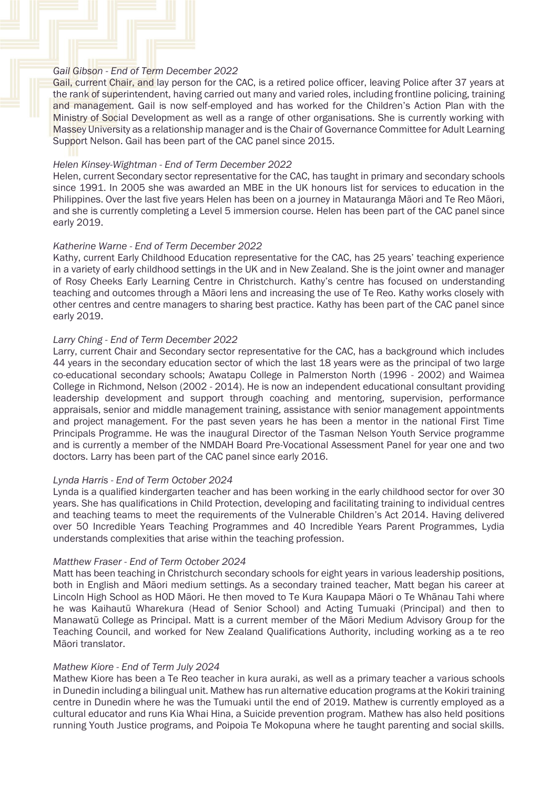### *Gail Gibson - End of Term December 2022*

Gail, current Chair, and lay person for the CAC, is a retired police officer, leaving Police after 37 years at the rank of superintendent, having carried out many and varied roles, including frontline policing, training and management. Gail is now self-employed and has worked for the Children's Action Plan with the Ministry of Social Development as well as a range of other organisations. She is currently working with Massey University as a relationship manager and is the Chair of Governance Committee for Adult Learning Support Nelson. Gail has been part of the CAC panel since 2015.

### *Helen Kinsey-Wightman - End of Term December 2022*

Helen, current Secondary sector representative for the CAC, has taught in primary and secondary schools since 1991. In 2005 she was awarded an MBE in the UK honours list for services to education in the Philippines. Over the last five years Helen has been on a journey in Matauranga Māori and Te Reo Māori, and she is currently completing a Level 5 immersion course. Helen has been part of the CAC panel since early 2019.

# *Katherine Warne - End of Term December 2022*

Kathy, current Early Childhood Education representative for the CAC, has 25 years' teaching experience in a variety of early childhood settings in the UK and in New Zealand. She is the joint owner and manager of Rosy Cheeks Early Learning Centre in Christchurch. Kathy's centre has focused on understanding teaching and outcomes through a Māori lens and increasing the use of Te Reo. Kathy works closely with other centres and centre managers to sharing best practice. Kathy has been part of the CAC panel since early 2019.

# *Larry Ching - End of Term December 2022*

Larry, current Chair and Secondary sector representative for the CAC, has a background which includes 44 years in the secondary education sector of which the last 18 years were as the principal of two large co-educational secondary schools; Awatapu College in Palmerston North (1996 - 2002) and Waimea College in Richmond, Nelson (2002 - 2014). He is now an independent educational consultant providing leadership development and support through coaching and mentoring, supervision, performance appraisals, senior and middle management training, assistance with senior management appointments and project management. For the past seven years he has been a mentor in the national First Time Principals Programme. He was the inaugural Director of the Tasman Nelson Youth Service programme and is currently a member of the NMDAH Board Pre-Vocational Assessment Panel for year one and two doctors. Larry has been part of the CAC panel since early 2016.

# *Lynda Harris - End of Term October 2024*

Lynda is a qualified kindergarten teacher and has been working in the early childhood sector for over 30 years. She has qualifications in Child Protection, developing and facilitating training to individual centres and teaching teams to meet the requirements of the Vulnerable Children's Act 2014. Having delivered over 50 Incredible Years Teaching Programmes and 40 Incredible Years Parent Programmes, Lydia understands complexities that arise within the teaching profession.

# *Matthew Fraser - End of Term October 2024*

Matt has been teaching in Christchurch secondary schools for eight years in various leadership positions, both in English and Māori medium settings. As a secondary trained teacher, Matt began his career at Lincoln High School as HOD Māori. He then moved to Te Kura Kaupapa Māori o Te Whānau Tahi where he was Kaihautū Wharekura (Head of Senior School) and Acting Tumuaki (Principal) and then to Manawatū College as Principal. Matt is a current member of the Māori Medium Advisory Group for the Teaching Council, and worked for New Zealand Qualifications Authority, including working as a te reo Māori translator.

#### *Mathew Kiore - End of Term July 2024*

Mathew Kiore has been a Te Reo teacher in kura auraki, as well as a primary teacher a various schools in Dunedin including a bilingual unit. Mathew has run alternative education programs at the Kokiri training centre in Dunedin where he was the Tumuaki until the end of 2019. Mathew is currently employed as a cultural educator and runs Kia Whai Hina, a Suicide prevention program. Mathew has also held positions running Youth Justice programs, and Poipoia Te Mokopuna where he taught parenting and social skills.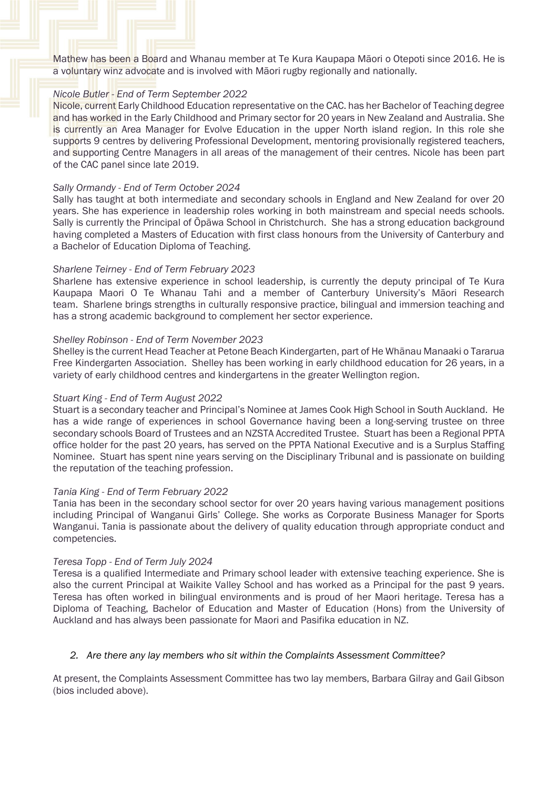Mathew has been a Board and Whanau member at Te Kura Kaupapa Māori o Otepoti since 2016. He is a voluntary winz advocate and is involved with Māori rugby regionally and nationally.

# *Nicole Butler - End of Term September 2022*

Nicole, current Early Childhood Education representative on the CAC. has her Bachelor of Teaching degree and has worked in the Early Childhood and Primary sector for 20 years in New Zealand and Australia. She is currently an Area Manager for Evolve Education in the upper North island region. In this role she supports 9 centres by delivering Professional Development, mentoring provisionally registered teachers, and supporting Centre Managers in all areas of the management of their centres. Nicole has been part of the CAC panel since late 2019.

### *Sally Ormandy - End of Term October 2024*

Sally has taught at both intermediate and secondary schools in England and New Zealand for over 20 years. She has experience in leadership roles working in both mainstream and special needs schools. Sally is currently the Principal of Ōpāwa School in Christchurch. She has a strong education background having completed a Masters of Education with first class honours from the University of Canterbury and a Bachelor of Education Diploma of Teaching.

### *Sharlene Teirney - End of Term February 2023*

Sharlene has extensive experience in school leadership, is currently the deputy principal of Te Kura Kaupapa Maori O Te Whanau Tahi and a member of Canterbury University's Māori Research team. Sharlene brings strengths in culturally responsive practice, bilingual and immersion teaching and has a strong academic background to complement her sector experience.

### *Shelley Robinson - End of Term November 2023*

Shelley is the current Head Teacher at Petone Beach Kindergarten, part of He Whānau Manaaki o Tararua Free Kindergarten Association. Shelley has been working in early childhood education for 26 years, in a variety of early childhood centres and kindergartens in the greater Wellington region.

### *Stuart King - End of Term August 2022*

Stuart is a secondary teacher and Principal's Nominee at James Cook High School in South Auckland. He has a wide range of experiences in school Governance having been a long-serving trustee on three secondary schools Board of Trustees and an NZSTA Accredited Trustee. Stuart has been a Regional PPTA office holder for the past 20 years, has served on the PPTA National Executive and is a Surplus Staffing Nominee. Stuart has spent nine years serving on the Disciplinary Tribunal and is passionate on building the reputation of the teaching profession.

#### *Tania King - End of Term February 2022*

Tania has been in the secondary school sector for over 20 years having various management positions including Principal of Wanganui Girls' College. She works as Corporate Business Manager for Sports Wanganui. Tania is passionate about the delivery of quality education through appropriate conduct and competencies.

#### *Teresa Topp - End of Term July 2024*

Teresa is a qualified Intermediate and Primary school leader with extensive teaching experience. She is also the current Principal at Waikite Valley School and has worked as a Principal for the past 9 years. Teresa has often worked in bilingual environments and is proud of her Maori heritage. Teresa has a Diploma of Teaching, Bachelor of Education and Master of Education (Hons) from the University of Auckland and has always been passionate for Maori and Pasifika education in NZ.

# *2. Are there any lay members who sit within the Complaints Assessment Committee?*

At present, the Complaints Assessment Committee has two lay members, Barbara Gilray and Gail Gibson (bios included above).